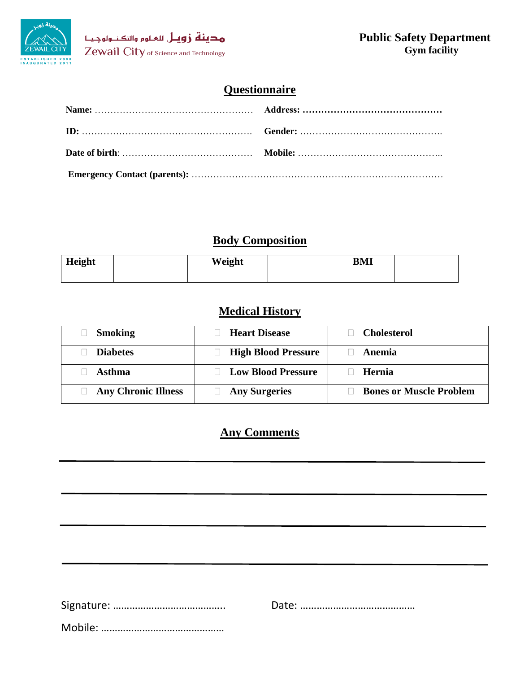

# **Questionnaire**

# **Body Composition**

| Height | Weight | <b>BMI</b> |  |
|--------|--------|------------|--|
|        |        |            |  |

# **Medical History**

| <b>Smoking</b>             | <b>Heart Disease</b>       | <b>Cholesterol</b>             |
|----------------------------|----------------------------|--------------------------------|
| <b>Diabetes</b>            | <b>High Blood Pressure</b> | Anemia                         |
| Asthma                     | <b>Low Blood Pressure</b>  | Hernia                         |
| <b>Any Chronic Illness</b> | <b>Any Surgeries</b>       | <b>Bones or Muscle Problem</b> |

# **Any Comments**

Signature: ………………………………….. Date: ……………………………………